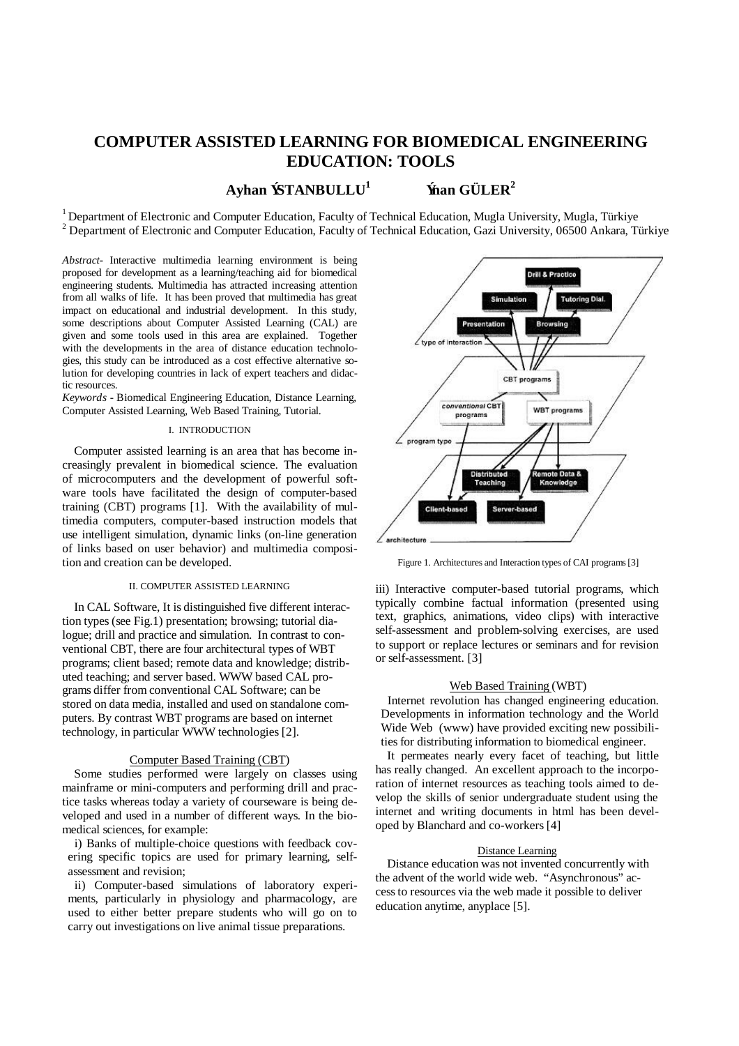# **COMPUTER ASSISTED LEARNING FOR BIOMEDICAL ENGINEERING EDUCATION: TOOLS**

**Ayhan ÝSTANBULLU<sup>1</sup>**

 **Ýnan GÜLER<sup>2</sup>**

<sup>1</sup> Department of Electronic and Computer Education, Faculty of Technical Education, Mugla University, Mugla, Türkiye  $2$  Department of Electronic and Computer Education, Faculty of Technical Education, Gazi University, 06500 Ankara, Türkiye

*Abstract*- Interactive multimedia learning environment is being proposed for development as a learning/teaching aid for biomedical engineering students. Multimedia has attracted increasing attention from all walks of life. It has been proved that multimedia has great impact on educational and industrial development. In this study, some descriptions about Computer Assisted Learning (CAL) are given and some tools used in this area are explained. Together with the developments in the area of distance education technologies, this study can be introduced as a cost effective alternative solution for developing countries in lack of expert teachers and didactic resources.

*Keywords* - Biomedical Engineering Education, Distance Learning, Computer Assisted Learning, Web Based Training, Tutorial.

# I. INTRODUCTION

Computer assisted learning is an area that has become increasingly prevalent in biomedical science. The evaluation of microcomputers and the development of powerful software tools have facilitated the design of computer-based training (CBT) programs [1]. With the availability of multimedia computers, computer-based instruction models that use intelligent simulation, dynamic links (on-line generation of links based on user behavior) and multimedia composition and creation can be developed.

## II. COMPUTER ASSISTED LEARNING

In CAL Software, It is distinguished five different interaction types (see Fig.1) presentation; browsing; tutorial dialogue; drill and practice and simulation. In contrast to conventional CBT, there are four architectural types of WBT programs; client based; remote data and knowledge; distributed teaching; and server based. WWW based CAL programs differ from conventional CAL Software; can be stored on data media, installed and used on standalone computers. By contrast WBT programs are based on internet technology, in particular WWW technologies [2].

## Computer Based Training (CBT)

Some studies performed were largely on classes using mainframe or mini-computers and performing drill and practice tasks whereas today a variety of courseware is being developed and used in a number of different ways. In the biomedical sciences, for example:

i) Banks of multiple-choice questions with feedback covering specific topics are used for primary learning, selfassessment and revision;

ii) Computer-based simulations of laboratory experiments, particularly in physiology and pharmacology, are used to either better prepare students who will go on to carry out investigations on live animal tissue preparations.



Figure 1. Architectures and Interaction types of CAI programs [3]

iii) Interactive computer-based tutorial programs, which typically combine factual information (presented using text, graphics, animations, video clips) with interactive self-assessment and problem-solving exercises, are used to support or replace lectures or seminars and for revision or self-assessment. [3]

## Web Based Training (WBT)

Internet revolution has changed engineering education. Developments in information technology and the World Wide Web (www) have provided exciting new possibilities for distributing information to biomedical engineer.

It permeates nearly every facet of teaching, but little has really changed. An excellent approach to the incorporation of internet resources as teaching tools aimed to develop the skills of senior undergraduate student using the internet and writing documents in html has been developed by Blanchard and co-workers [4]

# Distance Learning

Distance education was not invented concurrently with the advent of the world wide web. "Asynchronous" access to resources via the web made it possible to deliver education anytime, anyplace [5].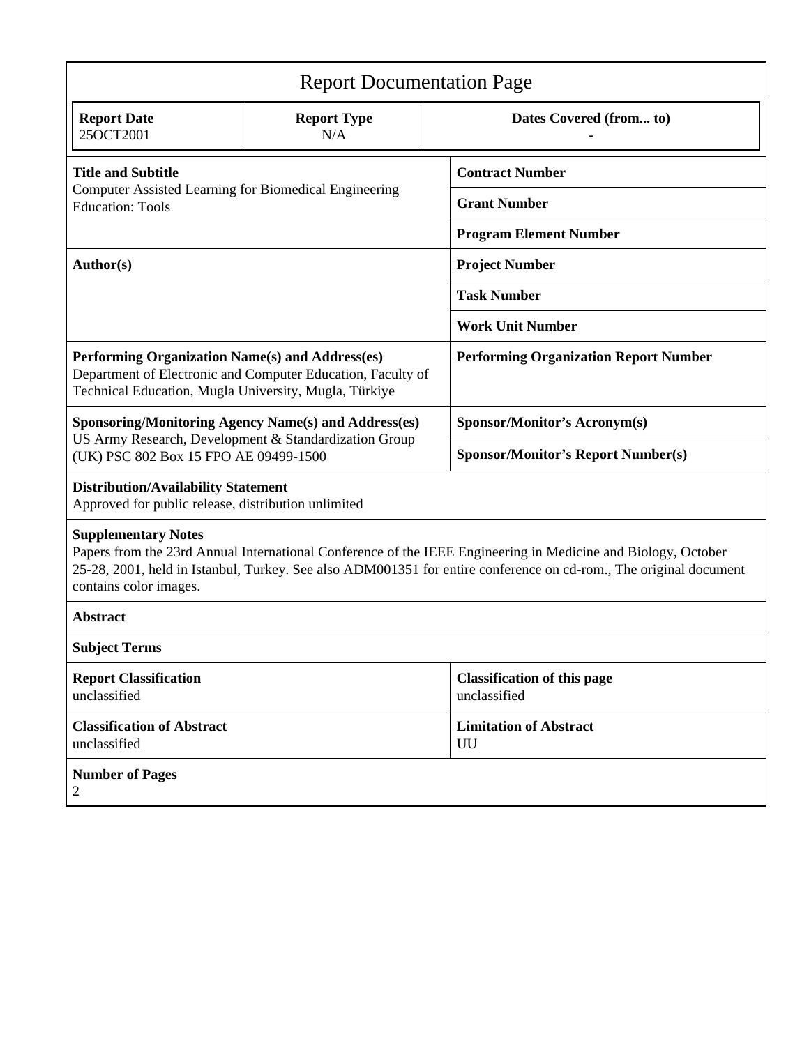| <b>Report Documentation Page</b>                                                                                                                                                                                                                                                           |                                                             |                                                    |  |  |  |  |
|--------------------------------------------------------------------------------------------------------------------------------------------------------------------------------------------------------------------------------------------------------------------------------------------|-------------------------------------------------------------|----------------------------------------------------|--|--|--|--|
| <b>Report Date</b><br>25OCT2001                                                                                                                                                                                                                                                            | <b>Report Type</b><br>N/A                                   | Dates Covered (from to)                            |  |  |  |  |
| <b>Title and Subtitle</b>                                                                                                                                                                                                                                                                  |                                                             | <b>Contract Number</b>                             |  |  |  |  |
| Computer Assisted Learning for Biomedical Engineering<br><b>Education: Tools</b>                                                                                                                                                                                                           |                                                             | <b>Grant Number</b>                                |  |  |  |  |
|                                                                                                                                                                                                                                                                                            |                                                             | <b>Program Element Number</b>                      |  |  |  |  |
| Author(s)                                                                                                                                                                                                                                                                                  |                                                             | <b>Project Number</b>                              |  |  |  |  |
|                                                                                                                                                                                                                                                                                            |                                                             | <b>Task Number</b>                                 |  |  |  |  |
|                                                                                                                                                                                                                                                                                            |                                                             | <b>Work Unit Number</b>                            |  |  |  |  |
| Performing Organization Name(s) and Address(es)<br>Technical Education, Mugla University, Mugla, Türkiye                                                                                                                                                                                   | Department of Electronic and Computer Education, Faculty of | <b>Performing Organization Report Number</b>       |  |  |  |  |
|                                                                                                                                                                                                                                                                                            | <b>Sponsoring/Monitoring Agency Name(s) and Address(es)</b> | <b>Sponsor/Monitor's Acronym(s)</b>                |  |  |  |  |
| US Army Research, Development & Standardization Group<br>(UK) PSC 802 Box 15 FPO AE 09499-1500                                                                                                                                                                                             |                                                             | <b>Sponsor/Monitor's Report Number(s)</b>          |  |  |  |  |
| <b>Distribution/Availability Statement</b><br>Approved for public release, distribution unlimited                                                                                                                                                                                          |                                                             |                                                    |  |  |  |  |
| <b>Supplementary Notes</b><br>Papers from the 23rd Annual International Conference of the IEEE Engineering in Medicine and Biology, October<br>25-28, 2001, held in Istanbul, Turkey. See also ADM001351 for entire conference on cd-rom., The original document<br>contains color images. |                                                             |                                                    |  |  |  |  |
| <b>Abstract</b>                                                                                                                                                                                                                                                                            |                                                             |                                                    |  |  |  |  |
| <b>Subject Terms</b>                                                                                                                                                                                                                                                                       |                                                             |                                                    |  |  |  |  |
| <b>Report Classification</b><br>unclassified                                                                                                                                                                                                                                               |                                                             | <b>Classification of this page</b><br>unclassified |  |  |  |  |
| <b>Classification of Abstract</b><br>unclassified                                                                                                                                                                                                                                          |                                                             | <b>Limitation of Abstract</b><br>UU                |  |  |  |  |
| <b>Number of Pages</b><br>2                                                                                                                                                                                                                                                                |                                                             |                                                    |  |  |  |  |